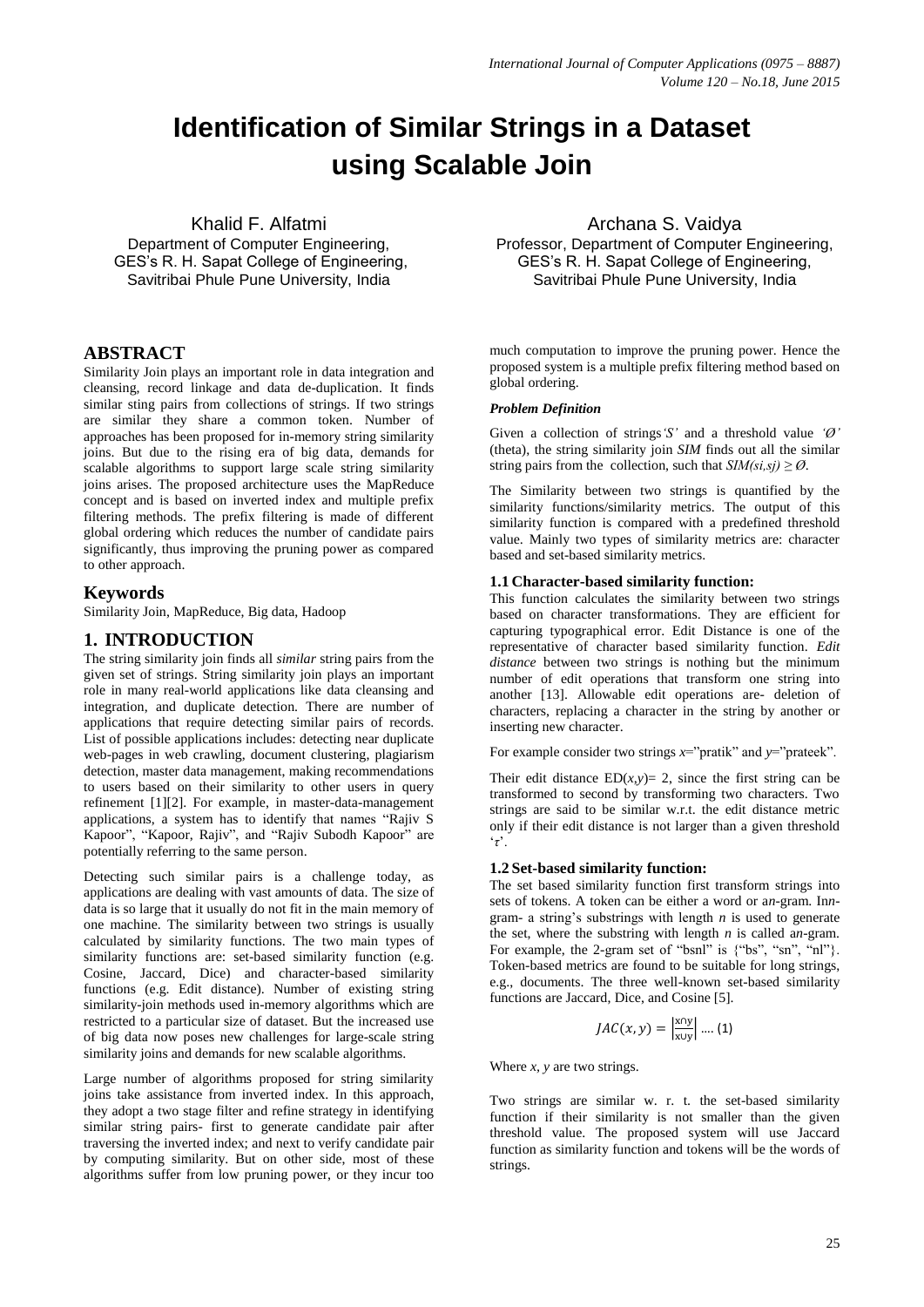# **Identification of Similar Strings in a Dataset using Scalable Join**

Khalid F. Alfatmi

Department of Computer Engineering, GES's R. H. Sapat College of Engineering, Savitribai Phule Pune University, India

# **ABSTRACT**

Similarity Join plays an important role in data integration and cleansing, record linkage and data de-duplication. It finds similar sting pairs from collections of strings. If two strings are similar they share a common token. Number of approaches has been proposed for in-memory string similarity joins. But due to the rising era of big data, demands for scalable algorithms to support large scale string similarity joins arises. The proposed architecture uses the MapReduce concept and is based on inverted index and multiple prefix filtering methods. The prefix filtering is made of different global ordering which reduces the number of candidate pairs significantly, thus improving the pruning power as compared to other approach.

# **Keywords**

Similarity Join, MapReduce, Big data, Hadoop

# **1. INTRODUCTION**

The string similarity join finds all *similar* string pairs from the given set of strings. String similarity join plays an important role in many real-world applications like data cleansing and integration, and duplicate detection. There are number of applications that require detecting similar pairs of records. List of possible applications includes: detecting near duplicate web-pages in web crawling, document clustering, plagiarism detection, master data management, making recommendations to users based on their similarity to other users in query refinement [1][2]. For example, in master-data-management applications, a system has to identify that names "Rajiv S Kapoor", "Kapoor, Rajiv", and "Rajiv Subodh Kapoor" are potentially referring to the same person.

Detecting such similar pairs is a challenge today, as applications are dealing with vast amounts of data. The size of data is so large that it usually do not fit in the main memory of one machine. The similarity between two strings is usually calculated by similarity functions. The two main types of similarity functions are: set-based similarity function (e.g. Cosine, Jaccard, Dice) and character-based similarity functions (e.g. Edit distance). Number of existing string similarity-join methods used in-memory algorithms which are restricted to a particular size of dataset. But the increased use of big data now poses new challenges for large-scale string similarity joins and demands for new scalable algorithms.

Large number of algorithms proposed for string similarity joins take assistance from inverted index. In this approach, they adopt a two stage filter and refine strategy in identifying similar string pairs- first to generate candidate pair after traversing the inverted index; and next to verify candidate pair by computing similarity. But on other side, most of these algorithms suffer from low pruning power, or they incur too

Archana S. Vaidya Professor, Department of Computer Engineering, GES's R. H. Sapat College of Engineering, Savitribai Phule Pune University, India

much computation to improve the pruning power. Hence the proposed system is a multiple prefix filtering method based on global ordering.

## *Problem Definition*

Given a collection of strings*'S'* and a threshold value *'Ø'* (theta), the string similarity join *SIM* finds out all the similar string pairs from the collection, such that  $SIM(s_i, s_j) \geq \emptyset$ .

The Similarity between two strings is quantified by the similarity functions/similarity metrics. The output of this similarity function is compared with a predefined threshold value. Mainly two types of similarity metrics are: character based and set-based similarity metrics.

## **1.1 Character-based similarity function:**

This function calculates the similarity between two strings based on character transformations. They are efficient for capturing typographical error. Edit Distance is one of the representative of character based similarity function. *Edit distance* between two strings is nothing but the minimum number of edit operations that transform one string into another [13]. Allowable edit operations are- deletion of characters, replacing a character in the string by another or inserting new character.

For example consider two strings  $x=$ "pratik" and  $y=$ "prateek".

Their edit distance  $ED(x, y) = 2$ , since the first string can be transformed to second by transforming two characters. Two strings are said to be similar w.r.t. the edit distance metric only if their edit distance is not larger than a given threshold '*τ*'.

#### **1.2 Set-based similarity function:**

The set based similarity function first transform strings into sets of tokens. A token can be either a word or a*n*-gram. In*n*gram- a string's substrings with length *n* is used to generate the set, where the substring with length  $n$  is called a*n*-gram. For example, the 2-gram set of "bsnl" is  $\{\text{``bs''}, \text{``sn''}, \text{``nl''}\}.$ Token-based metrics are found to be suitable for long strings, e.g., documents. The three well-known set-based similarity functions are Jaccard, Dice, and Cosine [5].

$$
JAC(x,y) = \left|\frac{\text{x} \cap y}{\text{x} \cup y}\right| \dots (1)
$$

Where *x, y* are two strings.

Two strings are similar w. r. t. the set-based similarity function if their similarity is not smaller than the given threshold value. The proposed system will use Jaccard function as similarity function and tokens will be the words of strings.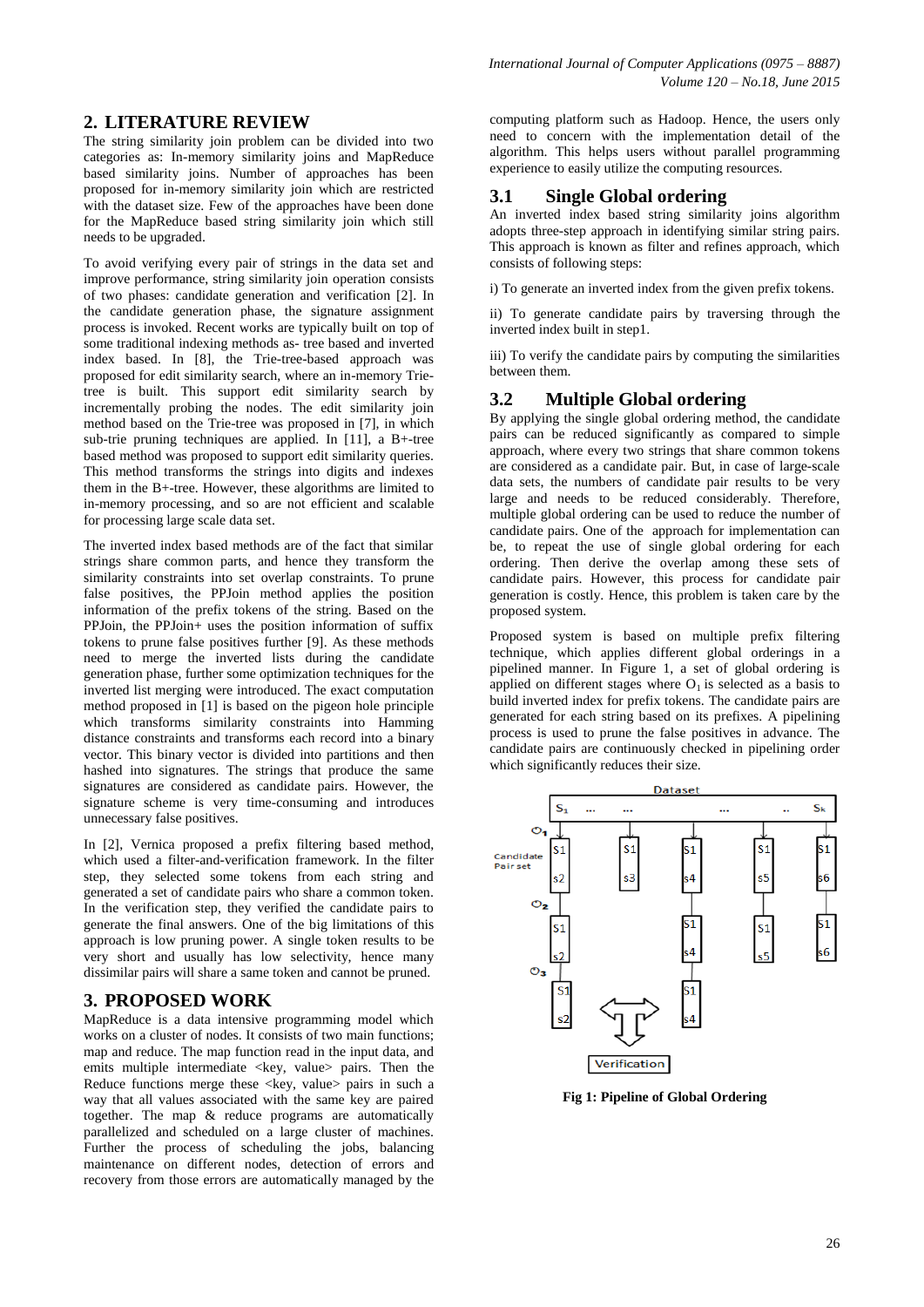# **2. LITERATURE REVIEW**

The string similarity join problem can be divided into two categories as: In-memory similarity joins and MapReduce based similarity joins. Number of approaches has been proposed for in-memory similarity join which are restricted with the dataset size. Few of the approaches have been done for the MapReduce based string similarity join which still needs to be upgraded.

To avoid verifying every pair of strings in the data set and improve performance, string similarity join operation consists of two phases: candidate generation and verification [2]. In the candidate generation phase, the signature assignment process is invoked. Recent works are typically built on top of some traditional indexing methods as- tree based and inverted index based. In [8], the Trie-tree-based approach was proposed for edit similarity search, where an in-memory Trietree is built. This support edit similarity search by incrementally probing the nodes. The edit similarity join method based on the Trie-tree was proposed in [7], in which sub-trie pruning techniques are applied. In [11], a B+-tree based method was proposed to support edit similarity queries. This method transforms the strings into digits and indexes them in the B+-tree. However, these algorithms are limited to in-memory processing, and so are not efficient and scalable for processing large scale data set.

The inverted index based methods are of the fact that similar strings share common parts, and hence they transform the similarity constraints into set overlap constraints. To prune false positives, the PPJoin method applies the position information of the prefix tokens of the string. Based on the PPJoin, the PPJoin+ uses the position information of suffix tokens to prune false positives further [9]. As these methods need to merge the inverted lists during the candidate generation phase, further some optimization techniques for the inverted list merging were introduced. The exact computation method proposed in [1] is based on the pigeon hole principle which transforms similarity constraints into Hamming distance constraints and transforms each record into a binary vector. This binary vector is divided into partitions and then hashed into signatures. The strings that produce the same signatures are considered as candidate pairs. However, the signature scheme is very time-consuming and introduces unnecessary false positives.

In [2], Vernica proposed a prefix filtering based method, which used a filter-and-verification framework. In the filter step, they selected some tokens from each string and generated a set of candidate pairs who share a common token. In the verification step, they verified the candidate pairs to generate the final answers. One of the big limitations of this approach is low pruning power. A single token results to be very short and usually has low selectivity, hence many dissimilar pairs will share a same token and cannot be pruned.

# **3. PROPOSED WORK**

MapReduce is a data intensive programming model which works on a cluster of nodes. It consists of two main functions; map and reduce. The map function read in the input data, and emits multiple intermediate <key, value> pairs. Then the Reduce functions merge these <key, value> pairs in such a way that all values associated with the same key are paired together. The map & reduce programs are automatically parallelized and scheduled on a large cluster of machines. Further the process of scheduling the jobs, balancing maintenance on different nodes, detection of errors and recovery from those errors are automatically managed by the

computing platform such as Hadoop. Hence, the users only need to concern with the implementation detail of the algorithm. This helps users without parallel programming experience to easily utilize the computing resources.

## **3.1 Single Global ordering**

An inverted index based string similarity joins algorithm adopts three-step approach in identifying similar string pairs. This approach is known as filter and refines approach, which consists of following steps:

i) To generate an inverted index from the given prefix tokens.

ii) To generate candidate pairs by traversing through the inverted index built in step1.

iii) To verify the candidate pairs by computing the similarities between them.

# **3.2 Multiple Global ordering**

By applying the single global ordering method, the candidate pairs can be reduced significantly as compared to simple approach, where every two strings that share common tokens are considered as a candidate pair. But, in case of large-scale data sets, the numbers of candidate pair results to be very large and needs to be reduced considerably. Therefore, multiple global ordering can be used to reduce the number of candidate pairs. One of the approach for implementation can be, to repeat the use of single global ordering for each ordering. Then derive the overlap among these sets of candidate pairs. However, this process for candidate pair generation is costly. Hence, this problem is taken care by the proposed system.

Proposed system is based on multiple prefix filtering technique, which applies different global orderings in a pipelined manner. In Figure 1, a set of global ordering is applied on different stages where  $O<sub>1</sub>$  is selected as a basis to build inverted index for prefix tokens. The candidate pairs are generated for each string based on its prefixes. A pipelining process is used to prune the false positives in advance. The candidate pairs are continuously checked in pipelining order which significantly reduces their size.



**Fig 1: Pipeline of Global Ordering**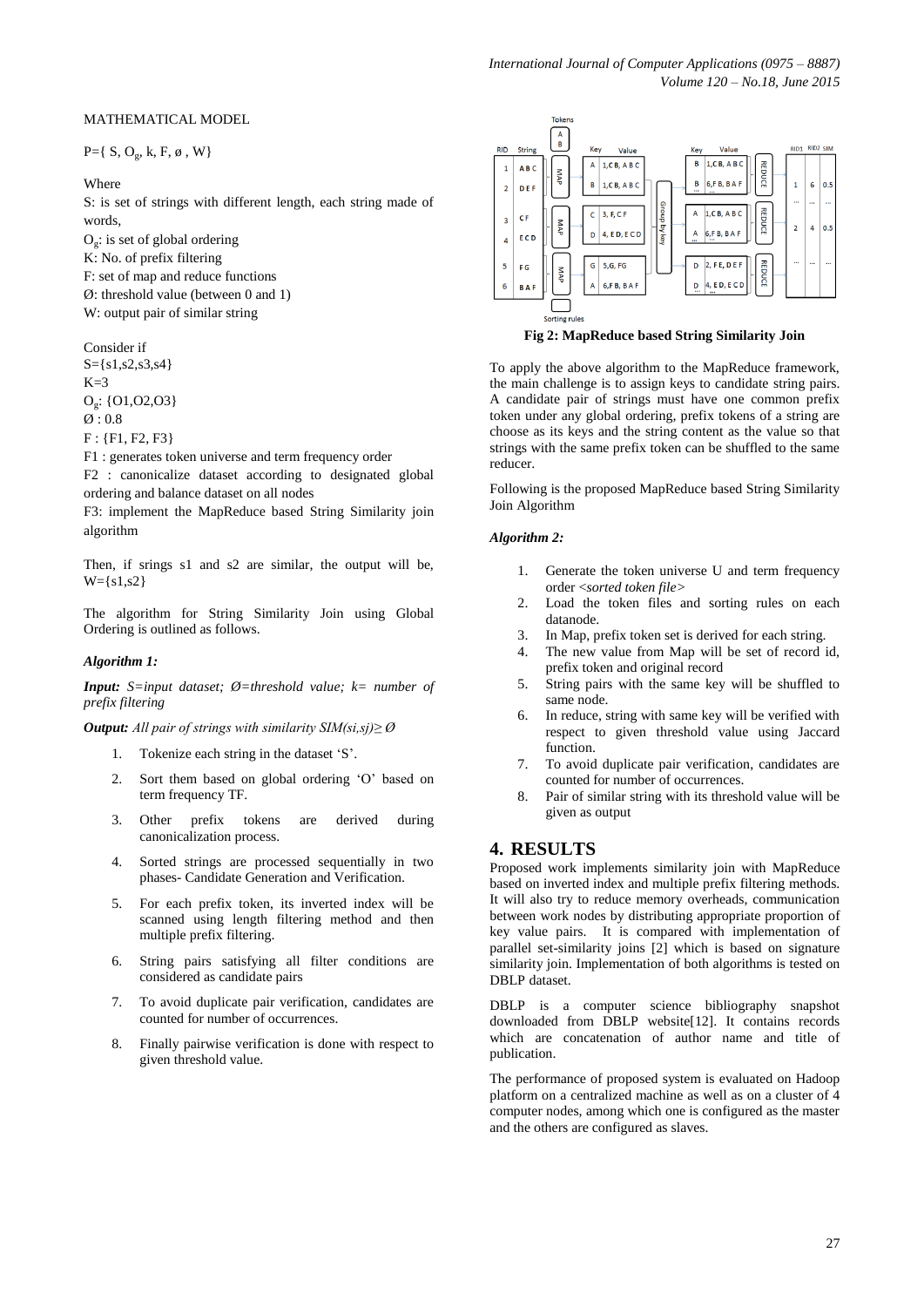#### MATHEMATICAL MODEL

 $P = \{ S, O_g, k, F, \emptyset, W \}$ 

#### Where

S: is set of strings with different length, each string made of words,

 $O<sub>g</sub>$ : is set of global ordering

- K: No. of prefix filtering
- F: set of map and reduce functions
- Ø: threshold value (between 0 and 1)
- W: output pair of similar string

Consider if  $S = \{s1, s2, s3, s4\}$  $K=3$ Og : {O1,O2,O3}  $\varnothing$ : 0.8 F : {F1, F2, F3}

F1 : generates token universe and term frequency order

F2 : canonicalize dataset according to designated global ordering and balance dataset on all nodes

F3: implement the MapReduce based String Similarity join algorithm

Then, if srings s1 and s2 are similar, the output will be,  $W = \{s1, s2\}$ 

The algorithm for String Similarity Join using Global Ordering is outlined as follows.

#### *Algorithm 1:*

*Input: S=input dataset; Ø=threshold value; k= number of prefix filtering*

#### *Output: All pair of strings with similarity SIM(si,sj)≥ Ø*

- 1. Tokenize each string in the dataset 'S'.
- 2. Sort them based on global ordering 'O' based on term frequency TF.
- 3. Other prefix tokens are derived during canonicalization process.
- 4. Sorted strings are processed sequentially in two phases- Candidate Generation and Verification.
- 5. For each prefix token, its inverted index will be scanned using length filtering method and then multiple prefix filtering.
- 6. String pairs satisfying all filter conditions are considered as candidate pairs
- 7. To avoid duplicate pair verification, candidates are counted for number of occurrences.
- 8. Finally pairwise verification is done with respect to given threshold value.



**Fig 2: MapReduce based String Similarity Join**

To apply the above algorithm to the MapReduce framework, the main challenge is to assign keys to candidate string pairs. A candidate pair of strings must have one common prefix token under any global ordering, prefix tokens of a string are choose as its keys and the string content as the value so that strings with the same prefix token can be shuffled to the same reducer.

Following is the proposed MapReduce based String Similarity Join Algorithm

#### *Algorithm 2:*

- 1. Generate the token universe U and term frequency order <*sorted token file>*
- 2. Load the token files and sorting rules on each datanode.
- 3. In Map, prefix token set is derived for each string.
- 4. The new value from Map will be set of record id, prefix token and original record
- 5. String pairs with the same key will be shuffled to same node.
- 6. In reduce, string with same key will be verified with respect to given threshold value using Jaccard function.
- 7. To avoid duplicate pair verification, candidates are counted for number of occurrences.
- 8. Pair of similar string with its threshold value will be given as output

## **4. RESULTS**

Proposed work implements similarity join with MapReduce based on inverted index and multiple prefix filtering methods. It will also try to reduce memory overheads, communication between work nodes by distributing appropriate proportion of key value pairs. It is compared with implementation of parallel set-similarity joins [2] which is based on signature similarity join. Implementation of both algorithms is tested on DBLP dataset.

DBLP is a computer science bibliography snapshot downloaded from DBLP website[12]. It contains records which are concatenation of author name and title of publication.

The performance of proposed system is evaluated on Hadoop platform on a centralized machine as well as on a cluster of 4 computer nodes, among which one is configured as the master and the others are configured as slaves.